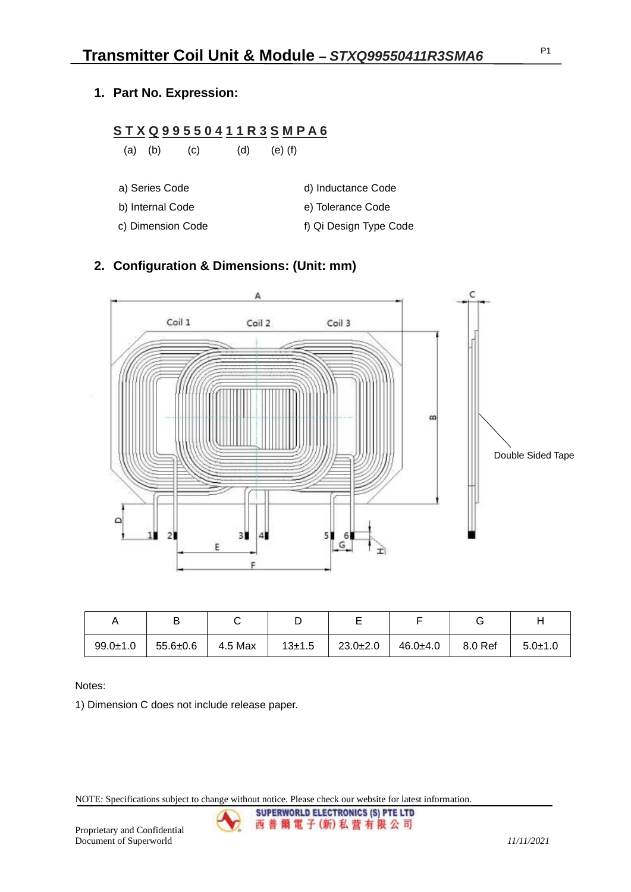P1

**1. Part No. Expression:**

#### **S T X Q 9 9 5 5 0 4 1 1 R 3 S M P A 6**

(a) (b) (c) (d) (e) (f)

- a) Series Code d) Inductance Code
- b) Internal Code e) Tolerance Code
- c) Dimension Code f) Qi Design Type Code

## **2. Configuration & Dimensions: (Unit: mm)**



|                |                |         |            | -              |          |         |               |
|----------------|----------------|---------|------------|----------------|----------|---------|---------------|
| $99.0 \pm 1.0$ | $55.6 \pm 0.6$ | 4.5 Max | $13 + 1.5$ | $23.0 \pm 2.0$ | 46.0±4.0 | 8.0 Ref | $5.0 \pm 1.0$ |

Notes:

1) Dimension C does not include release paper.

NOTE: Specifications subject to change without notice. Please check our website for latest information.